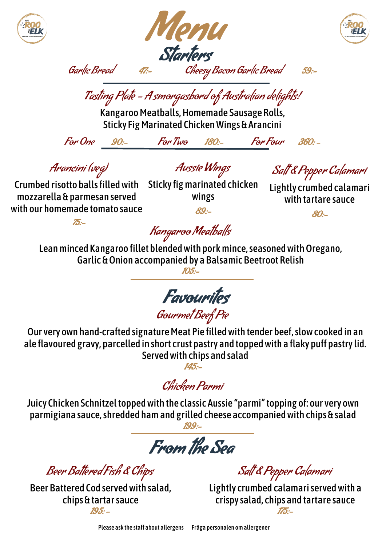





Garlic Bread 47:- Cheesy Bacon Garlic Bread 59:-  $\overline{\phantom{a}}$ 

Tasting Plate - A smorgasbord of Australian delights!

Kangaroo Meatballs, Homemade Sausage Rolls, Sticky Fig Marinated Chicken Wings & Arancini

For One 90:- For Two 180:- For Four 360: -

֦ ์<br>, Arancini (veg)

Aussie Wings

í Salt & Pepper Calamari

Lightly crumbed calamari

 $\mathbf{I}$ 

I

֚֚֡֕ ֦֧֢֦֧֢֬֝ mozzarella & parmesan served with our homemade tomato sauce

Crumbed risotto balls filled with Sticky fig marinated chicken wings 89:-

with tartare sauce 80:-

 $75 -$ 

Kangaroo Meatballs

֧֦֧֦֧֦֧֦֧֦֧֡  $\overline{a}$  Garlic & Onion accompanied by a Balsamic Beetroot Relish ֞֘֝֬ Lean minced Kangaroo fillet blended with pork mince, seasoned with Oregano,

105:-

Favourites

Gourmet Beef Pie

Our very own hand-crafted signature Meat Pie filled with tender beef, slow cooked in an ale flavoured gravy, parcelled in short crust pastry and topped with a flaky puff pastry lid. Served with chips and salad 145:-

Chicken Parmi

Juicy Chicken Schnitzel topped with the classic Aussie "parmi"topping of: our very own parmigiana sauce, shredded ham and grilled cheese accompanied with chips & salad 199:-

 From the Sea

Beer Battered Fish & Chips

Beer Battered Cod served with salad, chips & tartar sauce  $195 -$ 

Salt & Pepper Calamari

Lightly crumbed calamari served with a crispy salad, chips and tartare sauce 175:-